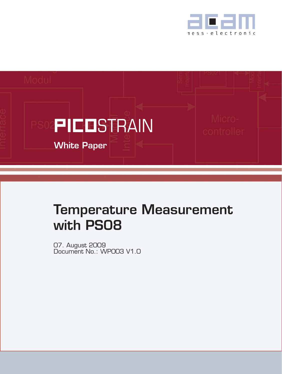



# Temperature Measurement with PS08

07. August 2009 Document No.: WP003 V1.0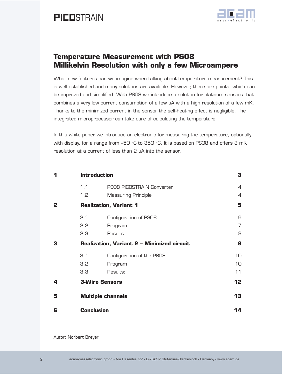

### **Temperature Measurement with PS08 Millikelvin Resolution with only a few Microampere**

What new features can we imagine when talking about temperature measurement? This is well established and many solutions are available. However, there are points, which can be improved and simplified. With PS08 we introduce a solution for platinum sensors that combines a very low current consumption of a few µA with a high resolution of a few mK. Thanks to the minimized current in the sensor the self-heating effect is negligible. The integrated microprocessor can take care of calculating the temperature.

In this white paper we introduce an electronic for measuring the temperature, optionally with display, for a range from -50 °C to 350 °C. It is based on PS08 and offers 3 mK resolution at a current of less than 2 µA into the sensor.

| 1 | <b>Introduction</b>                               | 3                          |                |
|---|---------------------------------------------------|----------------------------|----------------|
|   | 1.1                                               | PSO8 PICOSTRAIN Converter  | $\overline{4}$ |
|   | 1.2                                               | <b>Measuring Principle</b> | $\overline{4}$ |
| 2 | <b>Realization, Variant 1</b>                     |                            | 5              |
|   | 2.1                                               | Configuration of PSO8      | 6              |
|   | 2.2                                               | Program                    | $\overline{7}$ |
|   | 2.3                                               | Results:                   | 8              |
| 3 | <b>Realization, Variant 2 - Minimized circuit</b> |                            | 9              |
|   | 3.1                                               | Configuration of the PSO8  | 10             |
|   | 3.2                                               | Program                    | 10             |
|   | 3.3                                               | Results:                   | 11             |
| 4 | <b>3-Wire Sensors</b>                             |                            | 12             |
| 5 | <b>Multiple channels</b>                          |                            | 13             |
| 6 | <b>Conclusion</b>                                 |                            | 14             |

Autor: Norbert Breyer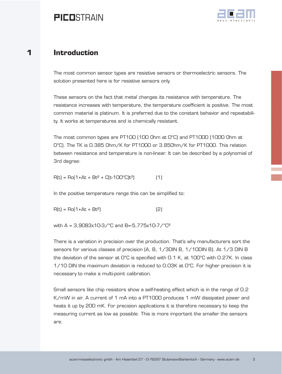

### <span id="page-2-0"></span>**1 Introduction**

The most common sensor types are resistive sensors or thermoelectric sensors. The solution presented here is for resistive sensors only.

These sensors on the fact that metal changes its resistance with temperature. The resistance increases with temperature, the temperature coefficient is positive. The most common material is platinum. It is preferred due to the constant behavior and repeatability. It works at temperatures and is chemically resistant.

The most common types are PT100 (100 Ohm at 0°C) and PT1000 (1000 Ohm at 0°C). The TK is 0.385 Ohm/K for PT1000 or 3.85Ohm/K for PT1000. This relation between resistance and temperature is non-linear. It can be described by a polynomial of 3rd degree:

 $R(t) = Ro(1+At + Bt<sup>2</sup> + C(t-1OO<sup>o</sup>C)t<sup>3</sup>)$  (1)

In the positive temperature range this can be simplified to:

 $R(t) = Ro(1 + At + Bt^2)$  (2)

with A = 3,9083x10-3/°C and B=-5,775x10-7/°C²

There is a variation in precision over the production. That's why manufacturers sort the sensors for various classes of precision (A, B, 1/3DIN B, 1/10DIN B). At 1/3 DIN B the deviation of the sensor at 0°C is specified with 0.1 K, at 100°C with 0.27K. In class  $1/10$  DIN the maximum deviation is reduced to 0.03K at  $0^{\circ}$ C. For higher precision it is necessary to make a multi-point calibration.

Small sensors like chip resistors show a self-heating effect which is in the range of 0.2 K/mW in air. A current of 1 mA into a PT1000 produces 1 mW dissipated power and heats it up by 200 mK. For precision applications it is therefore necessary to keep the measuring current as low as possible. This is more important the smaller the sensors are.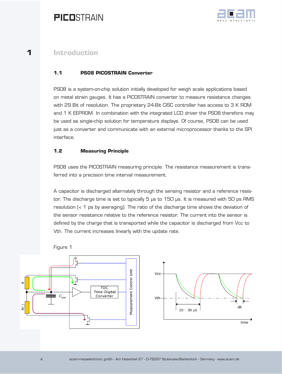

### <span id="page-3-0"></span>**1 Introduction**

### **1.1 PS08 PICOSTRAIN Converter**

PS08 is a system-on-chip solution initially developed for weigh scale applications based on metal strain gauges. It has a PICOSTRAIN converter to measure resistance changes with 29 Bit of resolution. The proprietary 24-Bit CISC controller has access to 3 K ROM and 1 K EEPROM. In combination with the integrated LCD driver the PS08 therefore may be used as single-chip solution for temperature displays. Of course, PS08 can be used just as a converter and communicate with an external microprocessor thanks to the SPI interface.

#### **1.2 Measuring Principle**

PS08 uses the PICOSTRAIN measuring principle. The resistance measurement is transferred into a precision time interval measurement.

A capacitor is discharged alternately through the sensing resistor and a reference resistor. The discharge time is set to typically 5 µs to 150 µs. It is measured with 50 ps RMS resolution (< 1 ps by averaging). The ratio of the discharge time shows the deviation of the sensor resistance relative to the reference resistor. The current into the sensor is defined by the charge that is transported while the capacitor is discharged from Vcc to Vth. The current increases linearly with the update rate.





Figure 1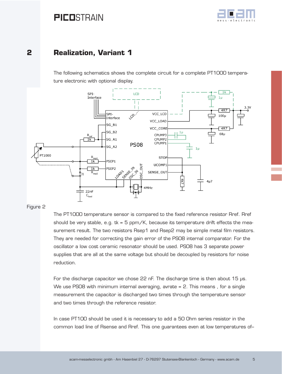

### <span id="page-4-0"></span>**2 Realization, Variant 1**

The following schematics shows the complete circuit for a complete PT1000 temperature electronic with optional display.



#### Figure 2

The PT1000 temperature sensor is compared to the fixed reference resistor Rref. Rref should be very stable, e.g.  $tk = 5$  ppm/K, because its temperature drift effects the measurement result. The two resistors Rsep1 and Rsep2 may be simple metal film resistors. They are needed for correcting the gain error of the PS08 internal comparator. For the oscillator a low cost ceramic resonator should be used. PS08 has 3 separate power supplies that are all at the same voltage but should be decoupled by resistors for noise reduction.

For the discharge capacitor we chose 22 nF. The discharge time is then about 15 µs. We use PS08 with minimum internal averaging, avrate = 2. This means, for a single measurement the capacitor is discharged two times through the temperature sensor and two times through the reference resistor.

In case PT100 should be used it is necessary to add a 50 Ohm series resistor in the common load line of Rsense and Rref. This one guarantees even at low temperatures of–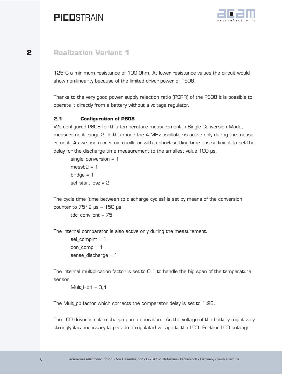

### <span id="page-5-0"></span>**2 Realization Variant 1**

125°C a minimum resistance of 100 Ohm. At lower resistance values the circuit would show non-linearity because of the limited driver power of PS08.

Thanks to the very good power supply rejection ratio (PSRR) of the PS08 it is possible to operate it directly from a battery without a voltage regulator.

### **2.1 Configuration of PS08**

We configured PS08 for this temperature measurement in Single Conversion Mode, measurement range 2. In this mode the 4 MHz oscillator is active only during the measurement. As we use a ceramic oscillator with a short settling time it is sufficient to set the delay for the discharge time measurement to the smallest value 100 µs.

single\_conversion = 1  $messb2 = 1$  $bridge = 1$ sel\_start\_osz = 2

The cycle time (time between to discharge cycles) is set by means of the conversion counter to  $75*2 \mu s = 150 \mu s$ .

```
tdc_conv_cnt = 75
```
The internal comparator is also active only during the measurement.

sel\_compint = 1 con  $comp = 1$ sense\_discharge = 1

The internal multiplication factor is set to 0.1 to handle the big span of the temperature sensor.

Mult  $Hb1 = 0,1$ 

The Mult\_pp factor which corrects the comparator delay is set to 1.28.

The LCD driver is set to charge pump operation. As the voltage of the battery might vary strongly it is necessary to provide a regulated voltage to the LCD. Further LCD settings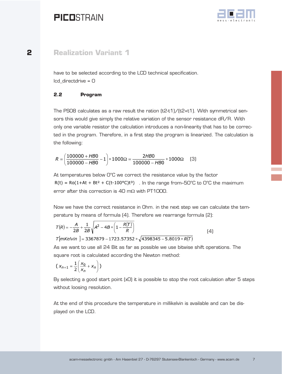

### <span id="page-6-0"></span>**2 Realization Variant 1**

have to be selected according to the LCD technical specification.  $\text{Icd}$  directdrive =  $\text{O}$ 

### **2.2 Program**

The PSO8 calculates as a raw result the ration  $(t2-t1)/(t2+t1)$ . With symmetrical sensors this would give simply the relative variation of the sensor resistance dR/R. With only one variable resistor the calculation introduces a non-linearity that has to be corrected in the program. Therefore, in a first step the program is linearized. The calculation is the following:

$$
R = \left(\frac{100000 + HB0}{100000 - HB0} - 1\right) * 1000\Omega = \frac{2HB0}{100000 - HB0} * 1000\Omega
$$
 (3)

At temperatures below 0°C we correct the resistance value by the factor  $R(t) = Ro(1+At + Bt^2 + C(t-100^{\circ}C)t^3)$ . In the range from–50°C to 0°C the maximum error after this correction is 40 m $\Omega$  with PT1000.

Now we have the correct resistance in Ohm. in the next step we can calculate the temperature by means of formula (4). Therefore we rearrange formula (2):

$$
T(R) = -\frac{A}{2B} + \frac{1}{2B} \sqrt{A^2 - 4B * \left(1 - \frac{R(T)}{R}\right)}
$$
  
T[m*Kelvin*] = 3367879 - 1723.57352 \*  $\sqrt{4398345 - 5.8019 * R(T)}$  (4)

As we want to use all 24 Bit as far as possible we use bitwise shift operations. The square root is calculated according the Newton method:

$$
\left(\,X_{n+1}=\frac{1}{2}\left(\frac{X_0}{X_n}+X_n\right)\,\right)
$$

By selecting a good start point (x0) it is possible to stop the root calculation after 5 steps without loosing resolution.

At the end of this procedure the temperature in millikelvin is available and can be displayed on the LCD.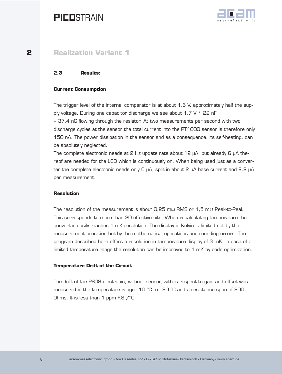

### <span id="page-7-0"></span>**2 Realization Variant 1**

### **2.3 Results:**

#### **Current Consumption**

The trigger level of the internal comparator is at about 1,6 V, approximately half the supply voltage. During one capacitor discharge we see about 1,7 V \* 22 nF = 37,4 nC flowing through the resistor. At two measurements per second with two discharge cycles at the sensor the total current into the PT1000 sensor is therefore only 150 nA. The power dissipation in the sensor and as a consequence, its self-heating, can be absolutely neglected.

The complete electronic needs at 2 Hz update rate about 12 µA, but already 6 µA thereof are needed for the LCD which is continuously on. When being used just as a converter the complete electronic needs only 6 µA, split in about 2 µA base current and 2.2 µA per measurement.

#### **Resolution**

The resolution of the measurement is about 0,25 mΩ RMS or 1,5 mΩ Peak-to-Peak. This corresponds to more than 20 effective bits. When recalculating temperature the converter easily reaches 1 mK resolution. The display in Kelvin is limited not by the measurement precision but by the mathematical operations and rounding errors. The program described here offers a resolution in temperature display of 3 mK. In case of a limited temperature range the resolution can be improved to 1 mK by code optimization.

#### **Temperature Drift of the Circuit**

The drift of the PS08 electronic, without sensor, with is respect to gain and offset was measured in the temperature range –10 °C to +80 °C and a resistance span of 800 Ohms. It is less than 1 ppm F.S./°C.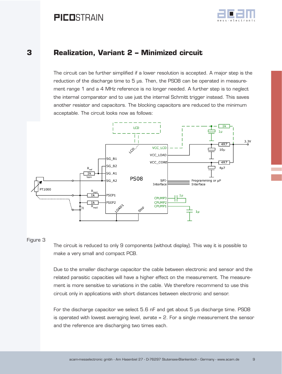

### <span id="page-8-0"></span>**3 Realization, Variant 2 – Minimized circuit**

The circuit can be further simplified if a lower resolution is accepted. A major step is the reduction of the discharge time to 5 µs. Then, the PS08 can be operated in measurement range 1 and a 4 MHz reference is no longer needed. A further step is to neglect the internal comparator and to use just the internal Schmitt trigger instead. This saves another resistor and capacitors. The blocking capacitors are reduced to the minimum acceptable. The circuit looks now as follows:



#### Figure 3

The circuit is reduced to only 9 components (without display). This way it is possible to make a very small and compact PCB.

Due to the smaller discharge capacitor the cable between electronic and sensor and the related parasitic capacities will have a higher effect on the measurement. The measurement is more sensitive to variations in the cable. We therefore recommend to use this circuit only in applications with short distances between electronic and sensor.

For the discharge capacitor we select 5.6 nF and get about 5 µs discharge time. PS08 is operated with lowest averaging level, avrate = 2. For a single measurement the sensor and the reference are discharging two times each.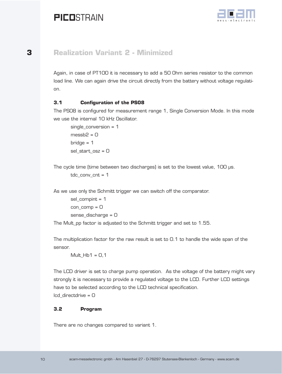

### <span id="page-9-0"></span>**3 Realization Variant 2 - Minimized**

Again, in case of PT100 it is necessary to add a 50 Ohm series resistor to the common load line. We can again drive the circuit directly from the battery without voltage regulation.

### **3.1 Configuration of the PS08**

The PS08 is configured for measurement range 1, Single Conversion Mode. In this mode we use the internal 10 kHz Oscillator.

```
single_conversion = 1
messb2 = 0bridge = 1sel start osz = 0
```
The cycle time (time between two discharges) is set to the lowest value, 100 µs. tdc conv  $cnt = 1$ 

As we use only the Schmitt trigger we can switch off the comparator.

sel compint =  $1$ con\_comp = 0 sense\_discharge = 0

The Mult\_pp factor is adjusted to the Schmitt trigger and set to 1.55.

The multiplication factor for the raw result is set to 0.1 to handle the wide span of the sensor.

 $Mult_Hb1 = 0,1$ 

The LCD driver is set to charge pump operation. As the voltage of the battery might vary strongly it is necessary to provide a regulated voltage to the LCD. Further LCD settings have to be selected according to the LCD technical specification.  $\text{Icd}$  directdrive =  $\text{O}$ 

#### **3.2 Program**

There are no changes compared to variant 1.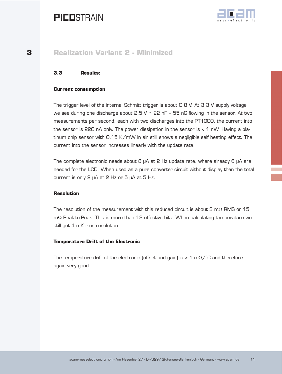

### <span id="page-10-0"></span>**3 Realization Variant 2 - Minimized**

### **3.3 Results:**

#### **Current consumption**

The trigger level of the internal Schmitt trigger is about 0.8 V. At 3.3 V supply voltage we see during one discharge about  $2.5 V * 22 nF = 55 nC$  flowing in the sensor. At two measurements per second, each with two discharges into the PT1000, the current into the sensor is 220 nA only. The power dissipation in the sensor is  $<$  1 nW. Having a platinum chip sensor with 0,15 K/mW in air still shows a negligible self heating effect. The current into the sensor increases linearly with the update rate.

The complete electronic needs about 8  $\mu$ A at 2 Hz update rate, where already 6  $\mu$ A are needed for the LCD. When used as a pure converter circuit without display then the total current is only 2 µA at 2 Hz or 5 µA at 5 Hz.

#### **Resolution**

The resolution of the measurement with this reduced circuit is about 3 mΩ RMS or 15 mΩ Peak-to-Peak. This is more than 18 effective bits. When calculating temperature we still get 4 mK rms resolution.

#### **Temperature Drift of the Electronic**

The temperature drift of the electronic (offset and gain) is < 1 m $\Omega$ /°C and therefore again very good.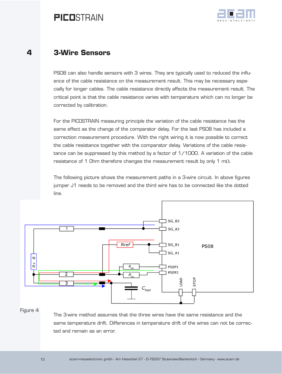

### <span id="page-11-0"></span>**4 3-Wire Sensors**

PS08 can also handle sensors with 3 wires. They are typically used to reduced the influence of the cable resistance on the measurement result. This may be necessary especially for longer cables. The cable resistance directly affects the measurement result. The critical point is that the cable resistance varies with temperature which can no longer be corrected by calibration.

For the PICOSTRAIN measuring principle the variation of the cable resistance has the same effect as the change of the comparator delay. For the last PS08 has included a correction measurement procedure. With the right wiring it is now possible to correct the cable resistance together with the comparator delay. Variations of the cable resistance can be suppressed by this method by a factor of 1/1000. A variation of the cable resistance of 1 Ohm therefore changes the measurement result by only 1 mΩ.

The following picture shows the measurement paths in a 3-wire circuit. In above figures jumper J1 needs to be removed and the third wire has to be connected like the dotted line.



#### Figure 4

The 3-wire method assumes that the three wires have the same resistance and the same temperature drift. Differences in temperature drift of the wires can not be corrected and remain as an error.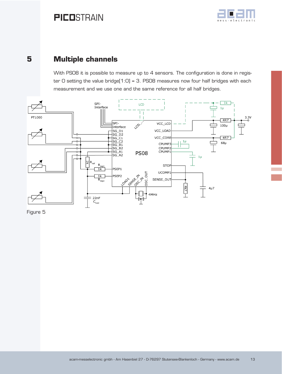

### <span id="page-12-0"></span>**5 Multiple channels**

With PSO8 it is possible to measure up to 4 sensors. The configuration is done in register 0 setting the value bridge[1:0] = 3. PS08 measures now four half bridges with each measurement and we use one and the same reference for all half bridges.



Figure 5